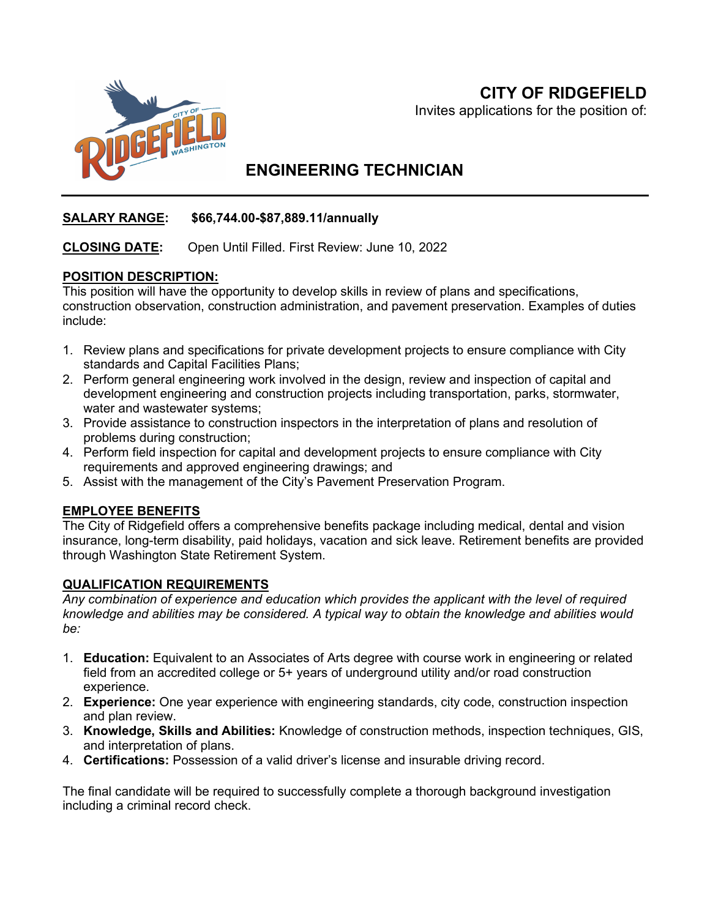## **CITY OF RIDGEFIELD**



Invites applications for the position of:

# **ENGINEERING TECHNICIAN**

### **SALARY RANGE: \$66,744.00-\$87,889.11/annually**

#### **CLOSING DATE:** Open Until Filled. First Review: June 10, 2022

#### **POSITION DESCRIPTION:**

This position will have the opportunity to develop skills in review of plans and specifications, construction observation, construction administration, and pavement preservation. Examples of duties include:

- 1. Review plans and specifications for private development projects to ensure compliance with City standards and Capital Facilities Plans;
- 2. Perform general engineering work involved in the design, review and inspection of capital and development engineering and construction projects including transportation, parks, stormwater, water and wastewater systems;
- 3. Provide assistance to construction inspectors in the interpretation of plans and resolution of problems during construction;
- 4. Perform field inspection for capital and development projects to ensure compliance with City requirements and approved engineering drawings; and
- 5. Assist with the management of the City's Pavement Preservation Program.

#### **EMPLOYEE BENEFITS**

The City of Ridgefield offers a comprehensive benefits package including medical, dental and vision insurance, long-term disability, paid holidays, vacation and sick leave. Retirement benefits are provided through Washington State Retirement System.

#### **QUALIFICATION REQUIREMENTS**

*Any combination of experience and education which provides the applicant with the level of required knowledge and abilities may be considered. A typical way to obtain the knowledge and abilities would be:*

- 1. **Education:** Equivalent to an Associates of Arts degree with course work in engineering or related field from an accredited college or 5+ years of underground utility and/or road construction experience.
- 2. **Experience:** One year experience with engineering standards, city code, construction inspection and plan review.
- 3. **Knowledge, Skills and Abilities:** Knowledge of construction methods, inspection techniques, GIS, and interpretation of plans.
- 4. **Certifications:** Possession of a valid driver's license and insurable driving record.

The final candidate will be required to successfully complete a thorough background investigation including a criminal record check.